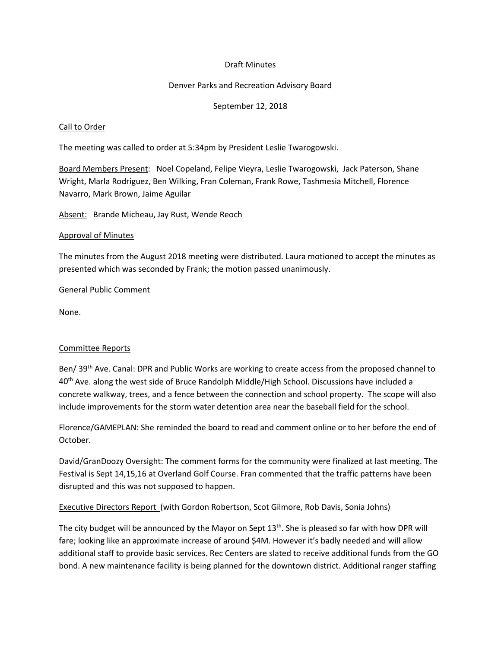## Draft Minutes

#### Denver Parks and Recreation Advisory Board

#### September 12, 2018

#### Call to Order

The meeting was called to order at 5:34pm by President Leslie Twarogowski.

Board Members Present: Noel Copeland, Felipe Vieyra, Leslie Twarogowski, Jack Paterson, Shane Wright, Marla Rodriguez, Ben Wilking, Fran Coleman, Frank Rowe, Tashmesia Mitchell, Florence Navarro, Mark Brown, Jaime Aguilar

Absent: Brande Micheau, Jay Rust, Wende Reoch

#### Approval of Minutes

The minutes from the August 2018 meeting were distributed. Laura motioned to accept the minutes as presented which was seconded by Frank; the motion passed unanimously.

#### General Public Comment

None.

#### Committee Reports

Ben/ 39th Ave. Canal: DPR and Public Works are working to create access from the proposed channel to 40<sup>th</sup> Ave. along the west side of Bruce Randolph Middle/High School. Discussions have included a concrete walkway, trees, and a fence between the connection and school property. The scope will also include improvements for the storm water detention area near the baseball field for the school.

Florence/GAMEPLAN: She reminded the board to read and comment online or to her before the end of October.

David/GranDoozy Oversight: The comment forms for the community were finalized at last meeting. The Festival is Sept 14,15,16 at Overland Golf Course. Fran commented that the traffic patterns have been disrupted and this was not supposed to happen.

## Executive Directors Report (with Gordon Robertson, Scot Gilmore, Rob Davis, Sonia Johns)

The city budget will be announced by the Mayor on Sept  $13<sup>th</sup>$ . She is pleased so far with how DPR will fare; looking like an approximate increase of around \$4M. However it's badly needed and will allow additional staff to provide basic services. Rec Centers are slated to receive additional funds from the GO bond. A new maintenance facility is being planned for the downtown district. Additional ranger staffing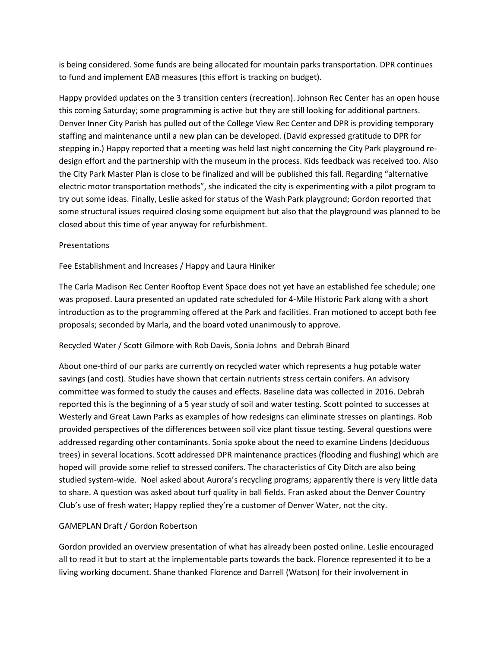is being considered. Some funds are being allocated for mountain parks transportation. DPR continues to fund and implement EAB measures (this effort is tracking on budget).

Happy provided updates on the 3 transition centers (recreation). Johnson Rec Center has an open house this coming Saturday; some programming is active but they are still looking for additional partners. Denver Inner City Parish has pulled out of the College View Rec Center and DPR is providing temporary staffing and maintenance until a new plan can be developed. (David expressed gratitude to DPR for stepping in.) Happy reported that a meeting was held last night concerning the City Park playground redesign effort and the partnership with the museum in the process. Kids feedback was received too. Also the City Park Master Plan is close to be finalized and will be published this fall. Regarding "alternative electric motor transportation methods", she indicated the city is experimenting with a pilot program to try out some ideas. Finally, Leslie asked for status of the Wash Park playground; Gordon reported that some structural issues required closing some equipment but also that the playground was planned to be closed about this time of year anyway for refurbishment.

## Presentations

# Fee Establishment and Increases / Happy and Laura Hiniker

The Carla Madison Rec Center Rooftop Event Space does not yet have an established fee schedule; one was proposed. Laura presented an updated rate scheduled for 4-Mile Historic Park along with a short introduction as to the programming offered at the Park and facilities. Fran motioned to accept both fee proposals; seconded by Marla, and the board voted unanimously to approve.

## Recycled Water / Scott Gilmore with Rob Davis, Sonia Johns and Debrah Binard

About one-third of our parks are currently on recycled water which represents a hug potable water savings (and cost). Studies have shown that certain nutrients stress certain conifers. An advisory committee was formed to study the causes and effects. Baseline data was collected in 2016. Debrah reported this is the beginning of a 5 year study of soil and water testing. Scott pointed to successes at Westerly and Great Lawn Parks as examples of how redesigns can eliminate stresses on plantings. Rob provided perspectives of the differences between soil vice plant tissue testing. Several questions were addressed regarding other contaminants. Sonia spoke about the need to examine Lindens (deciduous trees) in several locations. Scott addressed DPR maintenance practices (flooding and flushing) which are hoped will provide some relief to stressed conifers. The characteristics of City Ditch are also being studied system-wide. Noel asked about Aurora's recycling programs; apparently there is very little data to share. A question was asked about turf quality in ball fields. Fran asked about the Denver Country Club's use of fresh water; Happy replied they're a customer of Denver Water, not the city.

## GAMEPLAN Draft / Gordon Robertson

Gordon provided an overview presentation of what has already been posted online. Leslie encouraged all to read it but to start at the implementable parts towards the back. Florence represented it to be a living working document. Shane thanked Florence and Darrell (Watson) for their involvement in